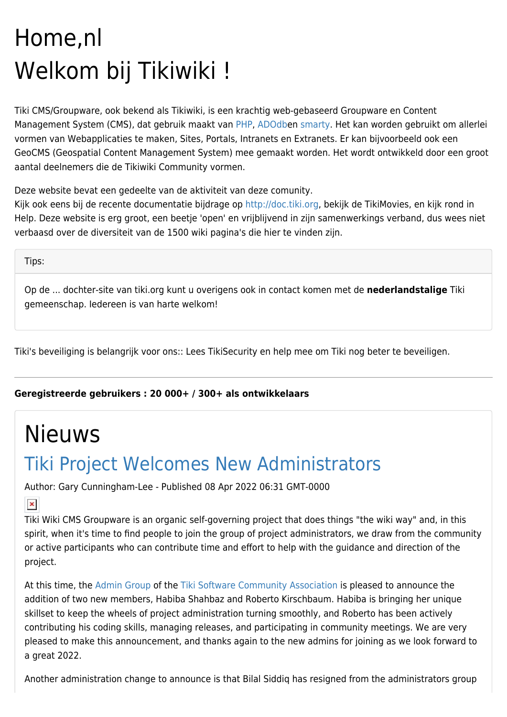# Home,nl Welkom bij Tikiwiki !

Tiki CMS/Groupware, ook bekend als Tikiwiki, is een krachtig web-gebaseerd Groupware en Content Management System (CMS), dat gebruik maakt van [PHP](http://php.net/), [ADOdb](http://adodb.sourceforge.net/)en [smarty.](http://smarty.php.net/) Het kan worden gebruikt om allerlei vormen van Webapplicaties te maken, Sites, Portals, Intranets en Extranets. Er kan bijvoorbeeld ook een GeoCMS (Geospatial Content Management System) mee gemaakt worden. Het wordt ontwikkeld door een groot aantal deelnemers die de Tikiwiki Community vormen.

Deze website bevat een gedeelte van de aktiviteit van deze comunity.

Kijk ook eens bij de recente documentatie bijdrage op<http://doc.tiki.org>, bekijk de TikiMovies, en kijk rond in Help. Deze website is erg groot, een beetje 'open' en vrijblijvend in zijn samenwerkings verband, dus wees niet verbaasd over de diversiteit van de 1500 wiki pagina's die hier te vinden zijn.

Tips:

Op de ... dochter-site van tiki.org kunt u overigens ook in contact komen met de **nederlandstalige** Tiki gemeenschap. Iedereen is van harte welkom!

Tiki's beveiliging is belangrijk voor ons:: Lees TikiSecurity en help mee om Tiki nog beter te beveiligen.

**Geregistreerde gebruikers : 20 000+ / 300+ als ontwikkelaars**

# Nieuws

# [Tiki Project Welcomes New Administrators](https://tiki.org/article489-Tiki-Project-Welcomes-New-Administrators)

Author: Gary Cunningham-Lee - Published 08 Apr 2022 06:31 GMT-0000

 $\pmb{\times}$ 

Tiki Wiki CMS Groupware is an organic self-governing project that does things "the wiki way" and, in this spirit, when it's time to find people to join the group of project administrators, we draw from the community or active participants who can contribute time and effort to help with the guidance and direction of the project.

At this time, the [Admin Group](https://tiki.org/Tiki-Admin-Group) of the [Tiki Software Community Association](https://tiki.org/Tiki-Software-Community-Association) is pleased to announce the addition of two new members, Habiba Shahbaz and Roberto Kirschbaum. Habiba is bringing her unique skillset to keep the wheels of project administration turning smoothly, and Roberto has been actively contributing his coding skills, managing releases, and participating in community meetings. We are very pleased to make this announcement, and thanks again to the new admins for joining as we look forward to a great 2022.

Another administration change to announce is that Bilal Siddiq has resigned from the administrators group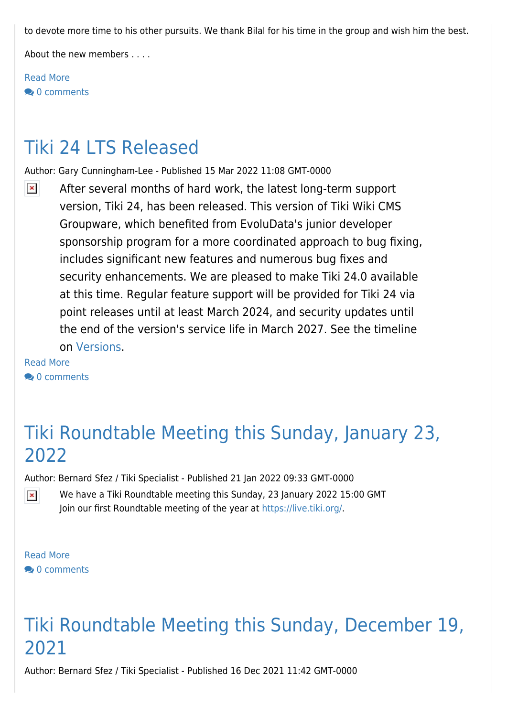to devote more time to his other pursuits. We thank Bilal for his time in the group and wish him the best.

About the new members . . . .

[Read More](https://tiki.org/article489-Tiki-Project-Welcomes-New-Administrators) **2** [0 comments](https://tiki.org/article489?show_comzone=y#comments)

#### [Tiki 24 LTS Released](https://tiki.org/article488-Tiki-24-LTS-Released)

Author: Gary Cunningham-Lee - Published 15 Mar 2022 11:08 GMT-0000

 $\pmb{\times}$ After several months of hard work, the latest long-term support version, Tiki 24, has been released. This version of Tiki Wiki CMS Groupware, which benefited from EvoluData's junior developer sponsorship program for a more coordinated approach to bug fixing, includes significant new features and numerous bug fixes and security enhancements. We are pleased to make Tiki 24.0 available at this time. Regular feature support will be provided for Tiki 24 via point releases until at least March 2024, and security updates until the end of the version's service life in March 2027. See the timeline on [Versions](https://tiki.org/Versions).

[Read More](https://tiki.org/article488-Tiki-24-LTS-Released) <sup>2</sup> [0 comments](https://tiki.org/article488?show_comzone=y#comments)

#### [Tiki Roundtable Meeting this Sunday, January 23,](https://tiki.org/article487-Tiki-Roundtable-Meeting-this-Sunday-January-23-2022) [2022](https://tiki.org/article487-Tiki-Roundtable-Meeting-this-Sunday-January-23-2022)

Author: Bernard Sfez / Tiki Specialist - Published 21 Jan 2022 09:33 GMT-0000

We have a Tiki Roundtable meeting this Sunday, 23 January 2022 15:00 GMT  $\pmb{\times}$ Join our first Roundtable meeting of the year at [https://live.tiki.org/.](https://live.tiki.org/)

[Read More](https://tiki.org/article487-Tiki-Roundtable-Meeting-this-Sunday-January-23-2022) **20** [0 comments](https://tiki.org/article487?show_comzone=y#comments)

## [Tiki Roundtable Meeting this Sunday, December 19,](https://tiki.org/article486-Tiki-Roundtable-Meeting-this-Sunday-December-19-2021) [2021](https://tiki.org/article486-Tiki-Roundtable-Meeting-this-Sunday-December-19-2021)

Author: Bernard Sfez / Tiki Specialist - Published 16 Dec 2021 11:42 GMT-0000